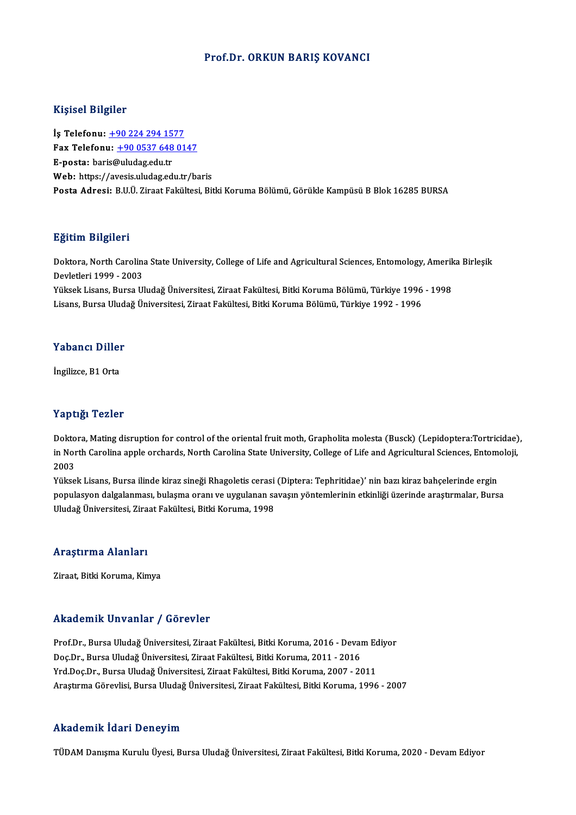#### Prof.Dr. ORKUN BARIŞ KOVANCI

#### Kişisel Bilgiler

Kişisel Bilgiler<br>İş Telefonu: <u>+90 224 294 1577</u><br>Fax Telefonu: 190 0527 648 01 1191001 D1191101<br>İş Telefonu: <u>+90 224 294 1577</u><br>Fax Telefonu: +90 0537 648 0147 İş Telefonu: <u>+90 224 294 15</u><br>Fax Telefonu: <u>+90 0537 648</u><br>E-posta: bar[is@uludag.edu.tr](tel:+90 224 294 1577)<br>Web: https://avesis.uludag.ed Fax Telefonu: <u>+90 0537 648 0147</u><br>E-posta: baris@uludag.edu.tr<br>Web: https://a[vesis.uludag.edu.tr/b](tel:+90 0537 648 0147)aris<br>Posta Adresi: BHÜ Zireet Fekültesi Bit E-posta: baris@uludag.edu.tr<br>Web: https://avesis.uludag.edu.tr/baris<br>Posta Adresi: B.U.Ü. Ziraat Fakültesi, Bitki Koruma Bölümü, Görükle Kampüsü B Blok 16285 BURSA

#### Eğitim Bilgileri

**Eğitim Bilgileri**<br>Doktora, North Carolina State University, College of Life and Agricultural Sciences, Entomology, Amerika Birleşik<br>Dovlatlari 1999 - 2002 ngresser<br>Doktora, North Carolina<br>Devletleri 1999 - 2003<br>Välgels Lisans, Bunsa Hl Doktora, North Carolina State University, College of Life and Agricultural Sciences, Entomology, Amerik<br>Devletleri 1999 - 2003<br>Yüksek Lisans, Bursa Uludağ Üniversitesi, Ziraat Fakültesi, Bitki Koruma Bölümü, Türkiye 1996 -

Devletleri 1999 - 2003<br>Yüksek Lisans, Bursa Uludağ Üniversitesi, Ziraat Fakültesi, Bitki Koruma Bölümü, Türkiye 1996 - 1998<br>Lisans, Bursa Uludağ Üniversitesi, Ziraat Fakültesi, Bitki Koruma Bölümü, Türkiye 1992 - 1996

# Lisans, bursa olud:<br>Yabancı Diller Y<mark>abancı Diller</mark><br>İngilizce, B1 Orta

# İngilizce, B1 Orta<br>Yaptığı Tezler

**Yaptığı Tezler**<br>Doktora, Mating disruption for control of the oriental fruit moth, Grapholita molesta (Busck) (Lepidoptera:Tortricidae),<br>in North Carolina annia ersharda North Carolina State University College of Life and in Apergi in Sirem<br>Doktora, Mating disruption for control of the oriental fruit moth, Grapholita molesta (Busck) (Lepidoptera:Tortricidae)<br>in North Carolina apple orchards, North Carolina State University, College of Life Dokto<br>in Nor<br>2003<br><sup>Välses</sup> in North Carolina apple orchards, North Carolina State University, College of Life and Agricultural Sciences, Entomoloji,<br>2003<br>Yüksek Lisans, Bursa ilinde kiraz sineği Rhagoletis cerasi (Diptera: Tephritidae)' nin bazı kir

2003<br>Yüksek Lisans, Bursa ilinde kiraz sineği Rhagoletis cerasi (Diptera: Tephritidae)' nin bazı kiraz bahçelerinde ergin<br>populasyon dalgalanması, bulaşma oranı ve uygulanan savaşın yöntemlerinin etkinliği üzerinde araştır Yüksek Lisans, Bursa ilinde kiraz sineği Rhagoletis cerasi<br>populasyon dalgalanması, bulaşma oranı ve uygulanan sa<br>Uludağ Üniversitesi, Ziraat Fakültesi, Bitki Koruma, 1998 Uludağ Üniversitesi, Ziraat Fakültesi, Bitki Koruma, 1998<br>Araştırma Alanları

Ziraat, Bitki Koruma, Kimya

#### Akademik Unvanlar / Görevler

Akademik Unvanlar / Görevler<br>Prof.Dr., Bursa Uludağ Üniversitesi, Ziraat Fakültesi, Bitki Koruma, 2016 - Devam Ediyor<br>Des.Dr., Bursa Uludağ Üniversitesi, Ziraat Fakültesi, Bitki Koruma, 2014 - 2016 rindu olirin "Oli valifat" / "dör ovtor"<br>Prof.Dr., Bursa Uludağ Üniversitesi, Ziraat Fakültesi, Bitki Koruma, 2016 - Deval<br>Doç.Dr., Bursa Uludağ Üniversitesi, Ziraat Fakültesi, Bitki Koruma, 2001 - 2016<br>Vrd Doc.Dr., Bursa Doç.Dr., Bursa Uludağ Üniversitesi, Ziraat Fakültesi, Bitki Koruma, 2011 - 2016<br>Yrd.Doç.Dr., Bursa Uludağ Üniversitesi, Ziraat Fakültesi, Bitki Koruma, 2007 - 2011 Araştırma Görevlisi, Bursa Uludağ Üniversitesi, Ziraat Fakültesi, Bitki Koruma, 1996 - 2007

#### Akademik İdari Deneyim

TÜDAM Danışma Kurulu Üyesi, Bursa Uludağ Üniversitesi, Ziraat Fakültesi, Bitki Koruma, 2020 - Devam Ediyor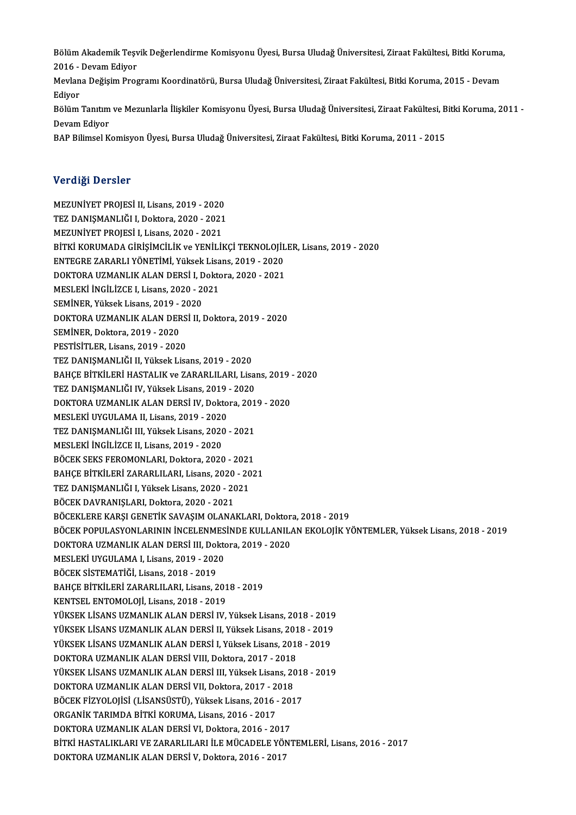Bölüm Akademik Teşvik Değerlendirme Komisyonu Üyesi, Bursa Uludağ Üniversitesi, Ziraat Fakültesi, Bitki Koruma,<br>2016 - Devem Ediyor **Bölüm Akademik Teşv<br>2016 - Devam Ediyor<br>Mevlana Değisim Pres** Bölüm Akademik Teşvik Değerlendirme Komisyonu Üyesi, Bursa Uludağ Üniversitesi, Ziraat Fakültesi, Bitki Koruma,<br>2016 - Devam Ediyor<br>Mevlana Değişim Programı Koordinatörü, Bursa Uludağ Üniversitesi, Ziraat Fakültesi, Bitki

2016 - Devam Ediyor<br>Mevlana Değişim Programı Koordinatörü, Bursa Uludağ Üniversitesi, Ziraat Fakültesi, Bitki Koruma, 2015 - Devam<br>Edivor Mevlana Değişim Programı Koordinatörü, Bursa Uludağ Üniversitesi, Ziraat Fakültesi, Bitki Koruma, 2015 - Devam<br>Ediyor<br>Bölüm Tanıtım ve Mezunlarla İlişkiler Komisyonu Üyesi, Bursa Uludağ Üniversitesi, Ziraat Fakültesi, Bitk

Ediyor<br>Bölüm Tanıtım<br>Devam Ediyor<br>PAP Pilimsel K Bölüm Tanıtım ve Mezunlarla İlişkiler Komisyonu Üyesi, Bursa Uludağ Üniversitesi, Ziraat Fakültesi, B<br>Devam Ediyor<br>BAP Bilimsel Komisyon Üyesi, Bursa Uludağ Üniversitesi, Ziraat Fakültesi, Bitki Koruma, 2011 - 2015

BAP Bilimsel Komisyon Üyesi, Bursa Uludağ Üniversitesi, Ziraat Fakültesi, Bitki Koruma, 2011 - 2015<br>Verdiği Dersler

Verdi<mark>ği Dersler</mark><br>MEZUNİYET PROJESİ II, Lisans, 2019 - 2020<br>TEZ DANISMANI JĞLI Dektera, 2020, ...2021 TEZ DANIŞMANLIĞI I, Doktora, 2020 - 2021<br>MEZUNİYET PROJESİ I, Lisans, 2020 - 2021 MEZUNİYET PROJESİ II, Lisans, 2019 - 2020<br>TEZ DANIŞMANLIĞI I, Doktora, 2020 - 2021<br>MEZUNİYET PROJESİ I, Lisans, 2020 - 2021<br>PİTKİ KORUMADA CİRİSİMCİLİK ve YENİLİL BİTKİ KORUMADA GİRİŞİMCİLİK ve YENİLİKÇİ TEKNOLOJİLER, Lisans, 2019 - 2020 MEZUNİYET PROJESİ I, Lisans, 2020 - 2021<br>BİTKİ KORUMADA GİRİŞİMCİLİK ve YENİLİKÇİ TEKNOLOJİL<br>ENTEGRE ZARARLI YÖNETİMİ, Yüksek Lisans, 2019 - 2020<br>DOKTORA UZMANLIK ALAN DERSİ I, Doktora, 2020, -2021 DOKTORA UZMANLIK ALAN DERSİ I, Doktora, 2020 - 2021<br>MESLEKİ İNGİLİZCE I, Lisans, 2020 - 2021 ENTEGRE ZARARLI YÖNETİMİ, Yüksek Lisa<br>DOKTORA UZMANLIK ALAN DERSİ I, Dokto<br>MESLEKİ İNGİLİZCE I, Lisans, 2020 - 2021<br>SEMİNEP, Yüksek Lisans, 2010, 2020 DOKTORA UZMANLIK ALAN DERSİ I, D<br>MESLEKİ İNGİLİZCE I, Lisans, 2020 - 20<br>SEMİNER, Yüksek Lisans, 2019 - 2020<br>DOKTORA UZMANLIK ALAN DERSİ ILI DOKTORA UZMANLIK ALAN DERSİ II, Doktora, 2019 - 2020<br>SEMİNER, Doktora, 2019 - 2020 SEMİNER, Yüksek Lisans, 2019 -<br>DOKTORA UZMANLIK ALAN DER<br>SEMİNER, Doktora, 2019 - 2020<br>PESTİSİTLER, Lisans, 2019 - 2020 PESTİSİTLER, Lisans, 2019 - 2020 TEZ DANIŞMANLIĞI II, Yüksek Lisans, 2019 - 2020 PESTİSİTLER, Lisans, 2019 - 2020<br>TEZ DANIŞMANLIĞI II, Yüksek Lisans, 2019 - 2020<br>BAHÇE BİTKİLERİ HASTALIK ve ZARARLILARI, Lisans, 2019 - 2020<br>TEZ DANISMANLIĞI IV, Yüksek Lisans, 2019, -2020 TEZ DANIŞMANLIĞI II, Yüksek Lisans, 2019 - 2020<br>BAHÇE BİTKİLERİ HASTALIK ve ZARARLILARI, Lisan<br>TEZ DANIŞMANLIĞI IV, Yüksek Lisans, 2019 - 2020<br>DOKTOBA UZMANLIK ALAN DERSİ IV, Dektora 201 BAHÇE BİTKİLERİ HASTALIK ve ZARARLILARI, Lisans, 2019 -<br>TEZ DANIŞMANLIĞI IV, Yüksek Lisans, 2019 - 2020<br>DOKTORA UZMANLIK ALAN DERSİ IV, Doktora, 2019 - 2020<br>MESLEKİ UYCULAMA IL Lisans, 2019 - 2020 TEZ DANIŞMANLIĞI IV, Yüksek Lisans, 2019<br>DOKTORA UZMANLIK ALAN DERSİ IV, Dokto<br>MESLEKİ UYGULAMA II, Lisans, 2019 - 2020<br>TEZ DANISMANI IĞI III, Yüksek Lisans, 2020 DOKTORA UZMANLIK ALAN DERSİ IV, Doktora, 2019 - 2020<br>MESLEKİ UYGULAMA II, Lisans, 2019 - 2020<br>TEZ DANIŞMANLIĞI III, Yüksek Lisans, 2020 - 2021<br>MESLEKİ İNGİLİZCE II, Lisans, 2019 - 2020 MESLEKİ UYGULAMA II, Lisans, 2019 - 2020<br>TEZ DANIŞMANLIĞI III, Yüksek Lisans, 2020<br>MESLEKİ İNGİLİZCE II, Lisans, 2019 - 2020<br>PÖCEK SEKS EEROMONI APL Doktora, 2020 TEZ DANIŞMANLIĞI III, Yüksek Lisans, 2020 - 2021<br>MESLEKİ İNGİLİZCE II, Lisans, 2019 - 2020<br>BÖCEK SEKS FEROMONLARI, Doktora, 2020 - 2021<br>BAHCE BİTKİLEDİ ZARARI ILARI, Lisans, 2020, 2021 MESLEKİ İNGİLİZCE II, Lisans, 2019 - 2020<br>BÖCEK SEKS FEROMONLARI, Doktora, 2020 - 2021<br>BAHÇE BİTKİLERİ ZARARLILARI, Lisans, 2020 - 2021<br>TEZ DANISMANLIĞLI Yüksek Lisans, 2020 - 2021 BÖCEK SEKS FEROMONLARI, Doktora, 2020 - 2021<br>BAHÇE BİTKİLERİ ZARARLILARI, Lisans, 2020 - 20<br>TEZ DANIŞMANLIĞI I, Yüksek Lisans, 2020 - 2021<br>BÖCEK DAVPANISI APL Doktora 2020 - 2021 BAHÇE BİTKİLERİ ZARARLILARI, Lisans, 2020 - 2021<br>TEZ DANIŞMANLIĞI I, Yüksek Lisans, 2020 - 2021<br>BÖCEK DAVRANIŞLARI, Doktora, 2020 - 2021 BÖCEKLERE KARŞI GENETİK SAVAŞIM OLANAKLARI, Doktora, 2018 - 2019 BÖCEK POPULASYONLARININ İNCELENMESİNDE KULLANILAN EKOLOJİK YÖNTEMLER, Yüksek Lisans, 2018 - 2019 BÖCEKLERE KARŞI GENETİK SAVAŞIM OLANAKLARI, Doktor<br>BÖCEK POPULASYONLARININ İNCELENMESİNDE KULLANIL*ı*<br>DOKTORA UZMANLIK ALAN DERSİ III, Doktora, 2019 - 2020<br>MESLEKİ UYCULAMA L LİSƏRS 2019 - 2020 BÖCEK POPULASYONLARININ İNCELENMES<br>DOKTORA UZMANLIK ALAN DERSİ III, Dokto<br>MESLEKİ UYGULAMA I, Lisans, 2019 - 2020<br>PÖCEK SİSTEMATİĞI, Lisans, 2019 - 2019 DOKTORA UZMANLIK ALAN DERSİ III, Dol<br>MESLEKİ UYGULAMA I, Lisans, 2019 - 202<br>BÖCEK SİSTEMATİĞİ, Lisans, 2018 - 2019<br>BAHCE BİTKİLERİ ZARABLILARL Lisans, 2 MESLEKİ UYGULAMA I, Lisans, 2019 - 2020<br>BÖCEK SİSTEMATİĞİ, Lisans, 2018 - 2019<br>BAHÇE BİTKİLERİ ZARARLILARI, Lisans, 2018 - 2019<br>KENTSEL ENTOMOLOU - Lisans, 2018 - 2019 BÖCEK SİSTEMATİĞİ, Lisans, 2018 - 2019<br>BAHÇE BİTKİLERİ ZARARLILARI, Lisans, 201<br>KENTSEL ENTOMOLOJİ, Lisans, 2018 - 2019<br>VÜKSEK LİSANS UZMANLIK ALAN DEBSİ IV KENTSEL ENTOMOLOJİ, Lisans, 2018 - 2019<br>YÜKSEK LİSANS UZMANLIK ALAN DERSİ IV, Yüksek Lisans, 2018 - 2019 KENTSEL ENTOMOLOJİ, Lisans, 2018 - 2019<br>YÜKSEK LİSANS UZMANLIK ALAN DERSİ IV, Yüksek Lisans, 2018 - 2019<br>YÜKSEK LİSANS UZMANLIK ALAN DERSİ II, Yüksek Lisans, 2018 - 2019<br>YÜKSEK LİSANS UZMANLIK ALAN DERSİ I Vüksek Lisans, 2 YÜKSEK LİSANS UZMANLIK ALAN DERSİ IV, Yüksek Lisans, 2018 - 2019<br>YÜKSEK LİSANS UZMANLIK ALAN DERSİ II, Yüksek Lisans, 2018 - 2019<br>YÜKSEK LİSANS UZMANLIK ALAN DERSİ I, Yüksek Lisans, 2018 - 2019<br>DOKTORA UZMANLIK ALAN DERSİ YÜKSEK LİSANS UZMANLIK ALAN DERSİ II, Yüksek Lisans, 201<br>YÜKSEK LİSANS UZMANLIK ALAN DERSİ I, Yüksek Lisans, 2011<br>DOKTORA UZMANLIK ALAN DERSİ VIII, Doktora, 2017 - 2018<br>YÜKSEK LİSANS UZMANLIK ALAN DERSİ III, Yüksek Lisans, YÜKSEK LİSANS UZMANLIK ALAN DERSİ I, Yüksek Lisans, 2018 - 2019<br>DOKTORA UZMANLIK ALAN DERSİ VIII, Doktora, 2017 - 2018<br>YÜKSEK LİSANS UZMANLIK ALAN DERSİ III, Yüksek Lisans, 2018 - 2019<br>DOKTORA UZMANLIK ALAN DERSİ VIL Delte DOKTORA UZMANLIK ALAN DERSİ VIII, Doktora, 2017 - 2018<br>YÜKSEK LİSANS UZMANLIK ALAN DERSİ III, Yüksek Lisans, 20<br>DOKTORA UZMANLIK ALAN DERSİ VII, Doktora, 2017 - 2018<br>BÖCEK EİZVOLOUSİ (LİSANSÜSTÜ), Yüksek Lisans, 2016 - 201 YÜKSEK LİSANS UZMANLIK ALAN DERSİ III, Yüksek Lisans, 2018<br>DOKTORA UZMANLIK ALAN DERSİ VII, Doktora, 2017 - 2018<br>BÖCEK FİZYOLOJİSİ (LİSANSÜSTÜ), Yüksek Lisans, 2016 - 2017<br>OPCANİK TARIMDA BİTKİ KOPUMA, Lisans, 2016 - 2017 DOKTORA UZMANLIK ALAN DERSİ VII, Doktora, 2017 - 2<br>BÖCEK FİZYOLOJİSİ (LİSANSÜSTÜ), Yüksek Lisans, 2016 -<br>ORGANİK TARIMDA BİTKİ KORUMA, Lisans, 2016 - 2017<br>DOKTORA UZMANI IK ALAN DERSİ VI, Doktora 2016 - 20 BÖCEK FİZYOLOJİSİ (LİSANSÜSTÜ), Yüksek Lisans, 2016 - 2017<br>ORGANİK TARIMDA BİTKİ KORUMA, Lisans, 2016 - 2017<br>DOKTORA UZMANLIK ALAN DERSİ VI, Doktora, 2016 - 2017<br>BİTKİ HASTALIKLARLVE ZARARLU ARLU E MÜCADELE YÖNE BİTKİ HASTALIKLARI VE ZARARLILARI İLE MÜCADELE YÖNTEMLERİ, Lisans, 2016 - 2017<br>DOKTORA UZMANLIK ALAN DERSİ V, Doktora, 2016 - 2017 DOKTORA UZMANLIK ALAN DERSİ VI, Doktora, 2016 - 2017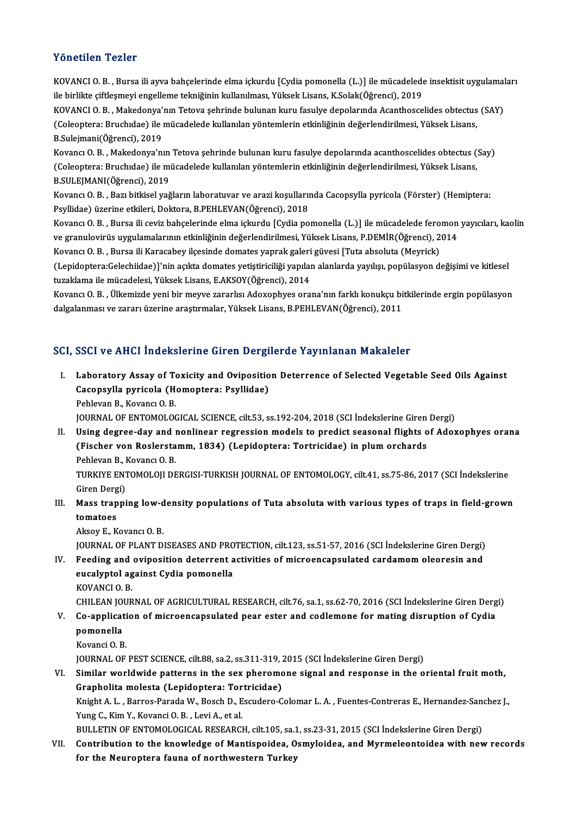#### Yönetilen Tezler

Yönetilen Tezler<br>KOVANCI O.B. , Bursa ili ayva bahçelerinde elma içkurdu [Cydia pomonella (L.)] ile mücadelede insektisit uygulamaları<br>ile birlikte giftlesmevi engelleme telmiğinin kullanılması Yüksek Lisens K Selek(Öğrens ile birlikte ile birlikte çiftleşmeyi engileşmeyinde çiftilerinde elma içkurdu [Cydia pomonella (L.)] ile mücadelede<br>ile birlikte çiftleşmeyi engelleme tekniğinin kullanılması, Yüksek Lisans, K.Solak(Öğrenci), 2019<br>KOVANCL KOVANCI O. B. , Bursa ili ayva bahçelerinde elma içkurdu [Cydia pomonella (L.)] ile mücadelede insektisit uygulamal<br>ile birlikte çiftleşmeyi engelleme tekniğinin kullanılması, Yüksek Lisans, K.Solak(Öğrenci), 2019<br>KOVANCI ile birlikte çiftleşmeyi engelleme tekniğinin kullanılması, Yüksek Lisans, K.Solak(Öğrenci), 2019<br>KOVANCI O. B. , Makedonya'nın Tetova şehrinde bulunan kuru fasulye depolarında Acanthoscelides obtectus<br>(Coleoptera: Bruchıd KOVANCI O. B. , Makedonya':<br>(Coleoptera: Bruchidae) ile :<br>B.Sulejmani(Öğrenci), 2019<br>Kovans: O. B., Makadonya'nı (Coleoptera: Bruchıdae) ile mücadelede kullanılan yöntemlerin etkinliğinin değerlendirilmesi, Yüksek Lisans,<br>B.Sulejmani(Öğrenci), 2019<br>Kovancı O. B. , Makedonya'nın Tetova şehrinde bulunan kuru fasulye depolarında acantho B.Sulejmani(Öğrenci), 2019<br>Kovancı O. B. , Makedonya'nın Tetova şehrinde bulunan kuru fasulye depolarında acanthoscelides obtectus (<br>(Coleoptera: Bruchıdae) ile mücadelede kullanılan yöntemlerin etkinliğinin değerlendirilm Kovancı O. B. , Makedonya'nın<br>(Coleoptera: Bruchıdae) ile m<br>B.SULEJMANI(Öğrenci), 2019<br>Kovangı O. B. - Beri bitkisel veğ (Coleoptera: Bruchıdae) ile mücadelede kullanılan yöntemlerin etkinliğinin değerlendirilmesi, Yüksek Lisans,<br>B.SULEJMANI(Öğrenci), 2019<br>Kovancı O. B. , Bazı bitkisel yağların laboratuvar ve arazi koşullarında Cacopsylla py B.SULEJMANI(Öğrenci), 2019<br>Kovancı O. B. , Bazı bitkisel yağların laboratuvar ve arazi koşullarında Cacopsylla pyricola (Förster) (Hemiptera:<br>Psyllidae) üzerine etkileri, Doktora, B.PEHLEVAN(Öğrenci), 2018 Kovancı O.B., Bursa ili ceviz bahçelerinde elma içkurdu [Cydia pomonella (L.)] ile mücadelede feromon yayıcıları, kaolin Psyllidae) üzerine etkileri, Doktora, B.PEHLEVAN(Öğrenci), 2018<br>Kovancı O. B. , Bursa ili ceviz bahçelerinde elma içkurdu [Cydia pomonella (L.)] ile mücadelede feromon<br>ve granulovirüs uygulamalarının etkinliğinin değerlend Kovancı O. B. , Bursa ili ceviz bahçelerinde elma içkurdu [Cydia pomonella (L.)] ile mücadelede fero<br>ve granulovirüs uygulamalarının etkinliğinin değerlendirilmesi, Yüksek Lisans, P.DEMİR(Öğrenci), 2<br>Kovancı O. B. , Bursa ve granulovirüs uygulamalarının etkinliğinin değerlendirilmesi, Yüksek Lisans, P.DEMİR(Öğrenci), 2014<br>Kovancı O. B. , Bursa ili Karacabey ilçesinde domates yaprak galeri güvesi [Tuta absoluta (Meyrick)<br>(Lepidoptera:Gelechi Kovancı O. B. , Bursa ili Karacabey ilçesinde domates yaprak galeri güvesi [Tuta absoluta (Meyrick)<br>(Lepidoptera:Gelechiidae)]'nin açıkta domates yetiştiriciliği yapılan alanlarda yayılışı, popülasyon değişimi ve kitlesel<br> (Lepidoptera:Gelechiidae)]'nin açıkta domates yetiştiriciliği yapılan alanlarda yayılışı, popülasyon değişimi ve kitlesel<br>tuzaklama ile mücadelesi, Yüksek Lisans, E.AKSOY(Öğrenci), 2014<br>Kovancı O. B. , Ülkemizde yeni bir m

tuzaklama ile mücadelesi, Yüksek Lisans, E.AKSOY(Öğrenci), 2014<br>Kovancı O. B. , Ülkemizde yeni bir meyve zararlısı Adoxophyes orana'nın farklı konukçu bi<br>dalgalanması ve zararı üzerine araştırmalar, Yüksek Lisans, B.PEHLEV

# dalgalanması ve zararı üzerine araştırmalar, Yüksek Lisans, B.PEHLEVAN(Öğrenci), 2011<br>SCI, SSCI ve AHCI İndekslerine Giren Dergilerde Yayınlanan Makaleler

CI, SSCI ve AHCI İndekslerine Giren Dergilerde Yayınlanan Makaleler<br>I. Laboratory Assay of Toxicity and Oviposition Deterrence of Selected Vegetable Seed Oils Against<br>Caeanavlla nuvisala (Hamantana: Bavllidaa) Cool vo finds machdiching an on Dorge<br>Laboratory Assay of Toxicity and Ovipositio<br>Cacopsylla pyricola (Homoptera: Psyllidae) Laboratory Assay of To<br>Cacopsylla pyricola (H<br>Pehlevan B., Kovancı O. B.<br>JOUPMAL OE ENTOMOLOG Cacopsylla pyricola (Homoptera: Psyllidae)<br>Pehlevan B., Kovancı O. B.<br>JOURNAL OF ENTOMOLOGICAL SCIENCE, cilt.53, ss.192-204, 2018 (SCI İndekslerine Giren Dergi)

Pehlevan B., Kovancı O. B.<br>I . USING OF ENTOMOLOGICAL SCIENCE, cilt.53, ss.192-204, 2018 (SCI İndekslerine Giren Dergi)<br>II. Using degree-day and nonlinear regression models to predict seasonal flights of Adoxophyes orana<br>I JOURNAL OF ENTOMOLOGICAL SCIENCE, cilt.53, ss.192-204, 2018 (SCI İndekslerine Giren<br>Using degree-day and nonlinear regression models to predict seasonal flights o<br>(Fischer von Roslerstamm, 1834) (Lepidoptera: Tortricidae) **Using degree-day and l<br>(Fischer von Roslersta)**<br>Pehlevan B., Kovancı O. B.<br>TURKIVE ENTOMOLOU DE (Fischer von Roslerstamm, 1834) (Lepidoptera: Tortricidae) in plum orchards<br>Pehlevan B., Kovancı O. B.<br>TURKIYE ENTOMOLOJI DERGISI-TURKISH JOURNAL OF ENTOMOLOGY, cilt.41, ss.75-86, 2017 (SCI İndekslerine<br>Giren Dergi) Pehlevan B., Kovancı O. B.

TURKIYE ENTOMOLOJI DERGISI-TURKISH JOURNAL OF ENTOMOLOGY, cilt.41, ss.75-86, 2017 (SCI İndekslerine<br>Giren Dergi)<br>III. Mass trapping low-density populations of Tuta absoluta with various types of traps in field-grown<br>tomate

# Giren Derg<br>Mass trap<br>tomatoes<br>Alrou E. K Mass trapping low-d<br>tomatoes<br>Aksoy E., Kovancı O. B.<br>JOUPMAL OE BLANT D. tomatoes<br>Aksoy E., Kovancı O. B.<br>JOURNAL OF PLANT DISEASES AND PROTECTION, cilt.123, ss.51-57, 2016 (SCI İndekslerine Giren Dergi)<br>Feeding and evinegition deterrent estivities of misroensansulated eardemam eleeresin and

Aksoy E., Kovancı O. B.<br>JOURNAL OF PLANT DISEASES AND PROTECTION, cilt.123, ss.51-57, 2016 (SCI İndekslerine Giren Dergi)<br>IV. Feeding and oviposition deterrent activities of microencapsulated cardamom oleoresin and<br>avealy JOURNAL OF PLANT DISEASES AND PRO<br>Feeding and oviposition deterrent a<br>eucalyptol against Cydia pomonella<br>KOVANCLO B IV. Feeding and oviposition deterrent activities of microencapsulated cardamom oleoresin and<br>eucalyptol against Cydia pomonella<br>KOVANCI 0. B.

CHILEAN JOURNAL OF AGRICULTURAL RESEARCH, cilt.76, sa.1, ss.62-70, 2016 (SCI İndekslerine Giren Dergi)

- KOVANCI O. B.<br>CHILEAN JOURNAL OF AGRICULTURAL RESEARCH, cilt.76, sa.1, ss.62-70, 2016 (SCI İndekslerine Giren Derg<br>V. Co-application of microencapsulated pear ester and codlemone for mating disruption of Cydia<br>Remanell pomonella<br>Kovanci O. B. Co-applicati<br>pomonella<br>Kovanci O. B.<br>JOUPMAL OF pomonella<br>Kovanci O. B.<br>JOURNAL OF PEST SCIENCE, cilt.88, sa.2, ss.311-319, 2015 (SCI İndekslerine Giren Dergi)<br>Similar worldwide patterne in the sex pheremene signal and respense in the e
	-

VI. Similar worldwide patterns in the sex pheromone signal and response in the oriental fruitmoth, JOURNAL OF PEST SCIENCE, cilt.88, sa.2, ss.311-319, 2<br>Similar worldwide patterns in the sex pheromo<br>Grapholita molesta (Lepidoptera: Tortricidae)<br>Knight A.J., Barres Barada W. Basch D. Escudare C Similar worldwide patterns in the sex pheromone signal and response in the oriental fruit moth,<br>Grapholita molesta (Lepidoptera: Tortricidae)<br>Knight A. L. , Barros-Parada W., Bosch D., Escudero-Colomar L. A. , Fuentes-Cont

Grapholita molesta (Lepidoptera: Tortricidae)<br>Knight A. L., Barros-Parada W., Bosch D., Escudero-C<br>Yung C., Kim Y., Kovanci O. B., Levi A., et al. Knight A. L. , Barros-Parada W., Bosch D., Escudero-Colomar L. A. , Fuentes-Contreras E., Hernandez-Sand<br>The E., Kim Y., Kovanci O. B. , Levi A., et al.<br>BULLETIN OF ENTOMOLOGICAL RESEARCH, cilt.105, sa.1, ss.23-31, 2015 (S

BULLETIN OF ENTOMOLOGICAL RESEARCH, cilt.105, sa.1, ss.23-31, 2015 (SCI İndekslerine Giren Dergi)

VII. Contribution to the knowledge of Mantispoidea, Osmyloidea, and Myrmeleontoidea with new records for the Neuroptera fauna of northwestern Turkey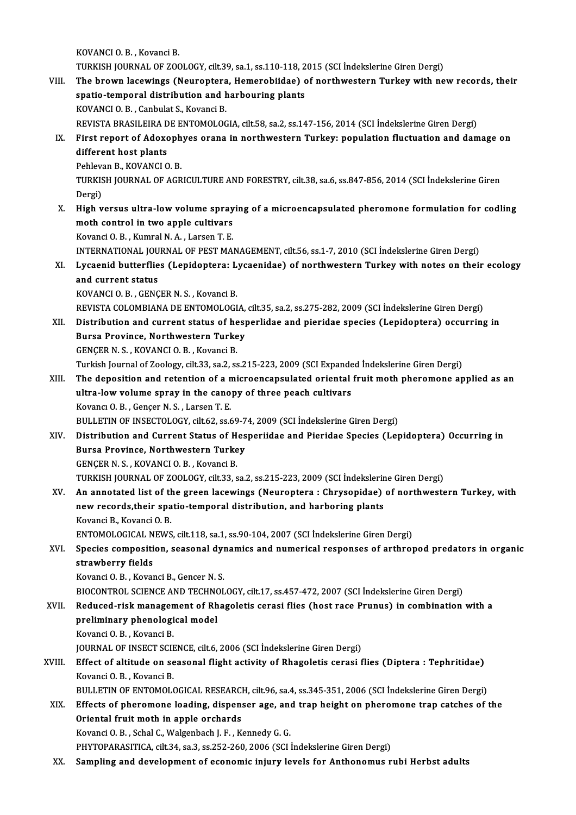KOVANCIO.B., Kovanci B. KOVANCI O. B. , Kovanci B.<br>TURKISH JOURNAL OF ZOOLOGY, cilt.39, sa.1, ss.110-118, 2015 (SCI İndekslerine Giren Dergi)<br>The hnown Jasowings (Nounantora, Hamarabiidae) of narthwestern Turkov with na

VIII. The brown lacewings (Neuroptera, Hemerobiidae) of northwestern Turkey with new records, their TURKISH JOURNAL OF ZOOLOGY, cilt.39, sa.1, ss.110-118, 2<br>The brown lacewings (Neuroptera, Hemerobiidae) c<br>spatio-temporal distribution and harbouring plants<br>KOVANCLO B. Conbulat S. Kovanci B. spatio-temporal distribution and harbouring plants<br>KOVANCI O.B., Canbulat S., Kovanci B. REVISTA BRASILEIRA DE ENTOMOLOGIA, cilt.58, sa.2, ss.147-156, 2014 (SCI İndekslerine Giren Dergi) KOVANCI O. B. , Canbulat S., Kovanci B.<br>REVISTA BRASILEIRA DE ENTOMOLOGIA, cilt.58, sa.2, ss.147-156, 2014 (SCI İndekslerine Giren Dergi)<br>IX. First report of Adoxophyes orana in northwestern Turkey: population fluctuat

# REVISTA BRASILEIRA D<br>First report of Adoxe<br>different host plants<br>Behleven B. KOVANCLO First report of Adoxoph<br>different host plants<br>Pehlevan B., KOVANCI O. B.<br>TURVISH JOURNAL OF ACR

different host plants<br>Pehlevan B., KOVANCI O. B.<br>TURKISH JOURNAL OF AGRICULTURE AND FORESTRY, cilt.38, sa.6, ss.847-856, 2014 (SCI İndekslerine Giren Pehleva<br>TURKIS<br>Dergi)<br>High u TURKISH JOURNAL OF AGRICULTURE AND FORESTRY, cilt.38, sa.6, ss.847-856, 2014 (SCI İndekslerine Giren<br>Dergi)<br>X. High versus ultra-low volume spraying of a microencapsulated pheromone formulation for codling<br>moth sontrol in

Dergi)<br>X. High versus ultra-low volume spraying of a microencapsulated pheromone formulation for codling<br>moth control in two apple cultivars moth control in two apple cultivars<br>Kovanci O. B. , Kumral N. A. , Larsen T. E.<br>INTERNATIONAL JOURNAL OF PEST MANAGEMENT, cilt.56, ss.1-7, 2010 (SCI İndekslerine Giren Dergi)<br>I vasanid buttarflias (Lanidantara: Lussanidae)

Kovanci O.B., Kumral N.A., Larsen T.E.

- Kovanci O. B., Kumral N. A., Larsen T. E.<br>INTERNATIONAL JOURNAL OF PEST MANAGEMENT, cilt.56, ss.1-7, 2010 (SCI İndekslerine Giren Dergi)<br>XI. Lycaenid butterflies (Lepidoptera: Lycaenidae) of northwestern Turkey with no INTERNATIONAL JOU<br>Lycaenid butterflie<br>and current status<br>KOVANCLO B - CENC Lycaenid butterflies (Lepidoptera: L<br>and current status<br>KOVANCI O.B., GENÇER N.S., Kovanci B.<br>BEVISTA COLOMEIANA DE ENTOMOLOCI
	-

and current status<br>KOVANCI O. B. , GENÇER N. S. , Kovanci B.<br>REVISTA COLOMBIANA DE ENTOMOLOGIA, cilt.35, sa.2, ss.275-282, 2009 (SCI İndekslerine Giren Dergi) KOVANCI O. B. , GENÇER N. S. , Kovanci B.<br>REVISTA COLOMBIANA DE ENTOMOLOGIA, cilt.35, sa.2, ss.275-282, 2009 (SCI İndekslerine Giren Dergi)<br>XII. Distribution and current status of hesperlidae and pieridae species (Lepi

- REVISTA COLOMBIANA DE ENTOMOLOGIA,<br>Distribution and current status of hesp<br>Bursa Province, Northwestern Turkey<br>CENCEP N.S., KOVANCLO B., Kovanci B. Distribution and current status of he<br>Bursa Province, Northwestern Turke<br>GENÇER N.S., KOVANCIO.B., Kovanci B.<br>Turkish Journal of Zoology silt 22, 22, 23 Bursa Province, Northwestern Turkey<br>GENÇER N. S. , KOVANCI O. B. , Kovanci B.<br>Turkish Journal of Zoology, cilt.33, sa.2, ss.215-223, 2009 (SCI Expanded İndekslerine Giren Dergi)<br>The deposition and retention of a misroensan
- GENÇER N. S. , KOVANCI O. B. , Kovanci B.<br>Turkish Journal of Zoology, cilt.33, sa.2, ss.215-223, 2009 (SCI Expanded Indekslerine Giren Dergi)<br>XIII. The deposition and retention of a microencapsulated oriental fruit moth ph Turkish Journal of Zoology, cilt.33, sa.2, ss.215-223, 2009 (SCI Expande<br>The deposition and retention of a microencapsulated oriental<br>ultra-low volume spray in the canopy of three peach cultivars<br>Kovang O.B., Conser N.S., The deposition and retention of a n<br>ultra-low volume spray in the cano<br>Kovancı O.B., Gençer N.S., Larsen T.E.<br>PULLETIN OF INSECTOLOCY cilt 62.886 ultra-low volume spray in the canopy of three peach cultivars<br>Kovancı O. B., Gençer N. S., Larsen T. E.<br>BULLETIN OF INSECTOLOGY, cilt.62, ss.69-74, 2009 (SCI İndekslerine Giren Dergi)

- XIV. Distribution and Current Status of Hesperiidae and Pieridae Species (Lepidoptera) Occurring in BULLETIN OF INSECTOLOGY, cilt.62, ss.69-7<br>Distribution and Current Status of Hes<br>Bursa Province, Northwestern Turkey<br>CENCEP N.S., KOVANCLO B., Kovangi B. Distribution and Current Status of H<br>Bursa Province, Northwestern Turke<br>GENÇER N.S., KOVANCI O.B., Kovanci B.<br>TURKISH JOURNAL OF 7001 OCV, silt 22, c GENÇER N. S. , KOVANCI O. B. , Kovanci B.<br>TURKISH JOURNAL OF ZOOLOGY, cilt.33, sa.2, ss.215-223, 2009 (SCI İndekslerine Giren Dergi) GENÇER N. S., KOVANCI O. B., Kovanci B.<br>TURKISH JOURNAL OF ZOOLOGY, cilt.33, sa.2, ss.215-223, 2009 (SCI İndekslerine Giren Dergi)<br>XV. An annotated list of the green lacewings (Neuroptera : Chrysopidae) of northwestern
- TURKISH JOURNAL OF ZOOLOGY, cilt.33, sa.2, ss.215-223, 2009 (SCI İndekslerin<br>An annotated list of the green lacewings (Neuroptera : Chrysopidae)<br>new records,their spatio-temporal distribution, and harboring plants<br>Kavansi **An annotated list of the**<br>new records,their spa<br>Kovanci B., Kovanci O. B.<br>ENTOMOLOCICAL NEWS new records,their spatio-temporal distribution, and harboring plants<br>Kovanci B., Kovanci O. B.<br>ENTOMOLOGICAL NEWS, cilt.118, sa.1, ss.90-104, 2007 (SCI İndekslerine Giren Dergi)<br>Species composition, sessenal dunamise and n

# Kovanci B., Kovanci O. B.<br>ENTOMOLOGICAL NEWS, cilt.118, sa.1, ss.90-104, 2007 (SCI İndekslerine Giren Dergi)<br>XVI. Species composition, seasonal dynamics and numerical responses of arthropod predators in organic<br>strawberry ENTOMOLOGICAL N<br>Species compositi<br>strawberry fields<br>Kovanci O B - Kovar strawberry fields<br>Kovanci O. B. , Kovanci B., Gencer N. S.<br>BIOCONTROL SCIENCE AND TECHNOLOGY, cilt.17, ss.457-472, 2007 (SCI İndekslerine Giren Dergi)<br>Beduced risk management of Phageletis caresi flies (hest rase Prunus) i

Kovanci O.B., Kovanci B., Gencer N.S.

- Kovanci O. B. , Kovanci B., Gencer N. S.<br>BIOCONTROL SCIENCE AND TECHNOLOGY, cilt.17, ss.457-472, 2007 (SCI İndekslerine Giren Dergi)<br>XVII. Reduced-risk management of Rhagoletis cerasi flies (host race Prunus) in combinatio BIOCONTROL SCIENCE AND TECHNO<br>Reduced-risk management of Rh<br>preliminary phenological model<br>Kovanci O. B., Kovanci B Reduced-risk management of Rhagoletis cerasi flies (host race Prunus) in combination with a preliminary phenological model<br>Kovanci O.B., Kovanci B. preliminary phenological model<br>Kovanci O. B., Kovanci B.<br>JOURNAL OF INSECT SCIENCE, cilt.6, 2006 (SCI İndekslerine Giren Dergi)<br>Effect of altitude on seesenal flight astivity of Phasalatis senasi f
- XVIII. Effect of altitude on seasonal flight activity of Rhagoletis cerasi flies (Diptera : Tephritidae)<br>Kovanci O. B., Kovanci B. **JOURNAL OF INSECT SCIE**<br>**Effect of altitude on se<br>Kovanci O. B. , Kovanci B.<br>BLU LETIN OF ENTOMOL (** Effect of altitude on seasonal flight activity of Rhagoletis cerasi flies (Diptera : Tephritidae)<br>Kovanci O. B., Kovanci B.<br>BULLETIN OF ENTOMOLOGICAL RESEARCH, cilt.96, sa.4, ss.345-351, 2006 (SCI İndekslerine Giren Dergi)

Kovanci O. B. , Kovanci B.<br>BULLETIN OF ENTOMOLOGICAL RESEARCH, cilt.96, sa.4, ss.345-351, 2006 (SCI Indekslerine Giren Dergi)<br>XIX. Effects of pheromone loading, dispenser age, and trap height on pheromone trap catches BULLETIN OF ENTOMOLOGICAL RESEARC<br>Effects of pheromone loading, dispens<br>Oriental fruit moth in apple orchards<br>Kavangi O.B., Schol C. Weksphach L.E., K Effects of pheromone loading, dispenser age, and<br>Oriental fruit moth in apple orchards<br>Kovanci O.B., Schal C., Walgenbach J.F., Kennedy G.G.<br>PHYTOPAP ASITICA sit 24, sa 2, sa 252, 260, 2006 (SSL) Oriental fruit moth in apple orchards<br>Kovanci O. B. , Schal C., Walgenbach J. F. , Kennedy G. G.<br>PHYTOPARASITICA, cilt.34, sa.3, ss.252-260, 2006 (SCI İndekslerine Giren Dergi)

XX. Sampling and development of economic injury levels for Anthonomus rubi Herbst adults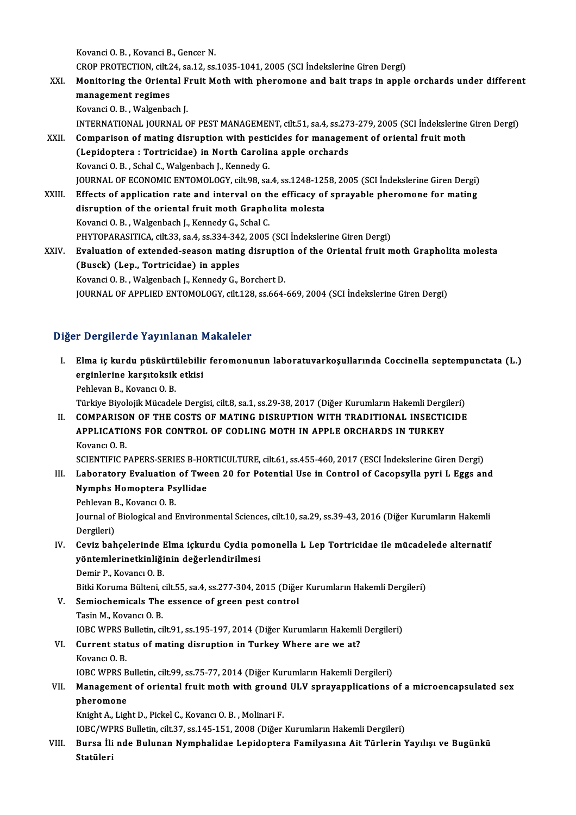Kovanci O.B., Kovanci B., Gencer N.

Kovanci O. B. , Kovanci B., Gencer N.<br>CROP PROTECTION, cilt.24, sa.12, ss.1035-1041, 2005 (SCI İndekslerine Giren Dergi)<br>Monitering the Qrientel Fruit Meth with pheremone and beit trans in annlı

XXI. Monitoring the Oriental Fruit Moth with pheromone and bait traps in apple orchards under different management regimes CROP PROTECTION, cilt.2<br>Monitoring the Orient<br>management regimes KovanciO.B. ,Walgenbach J.

INTERNATIONAL JOURNALOF PESTMANAGEMENT, cilt.51, sa.4, ss.273-279,2005 (SCI İndekslerineGirenDergi)

- Kovanci O. B., Walgenbach J.<br>INTERNATIONAL JOURNAL OF PEST MANAGEMENT, cilt.51, sa.4, ss.273-279, 2005 (SCI İndekslerine<br>XXII. Comparison of mating disruption with pesticides for management of oriental fruit moth<br>(Lonidont INTERNATIONAL JOURNAL OF PEST MANAGEMENT, cilt.51, sa.4, ss.27<br>Comparison of mating disruption with pesticides for managen<br>(Lepidoptera : Tortricidae) in North Carolina apple orchards<br>Kovanci O.B., Schal C. Wakaphach L. Ko Comparison of mating disruption with pesti<br>(Lepidoptera : Tortricidae) in North Carolin<br>Kovanci O.B., Schal C., Walgenbach J., Kennedy G.<br>JOUPNAL OF ECONOMIC ENTOMOLOCY, silt 99, SS (Lepidoptera : Tortricidae) in North Carolina apple orchards<br>Kovanci O. B., Schal C., Walgenbach J., Kennedy G.<br>JOURNAL OF ECONOMIC ENTOMOLOGY, cilt.98, sa.4, ss.1248-1258, 2005 (SCI İndekslerine Giren Dergi)<br>Effects of an Kovanci O. B., Schal C., Walgenbach J., Kennedy G.<br>JOURNAL OF ECONOMIC ENTOMOLOGY, cilt.98, sa.4, ss.1248-1258, 2005 (SCI İndekslerine Giren Dergi)<br>XXIII. Effects of application rate and interval on the efficacy of sprayab
- JOURNAL OF ECONOMIC ENTOMOLOGY, cilt.98, sa.4, ss.1248-125<br>Effects of application rate and interval on the efficacy of<br>disruption of the oriental fruit moth Grapholita molesta<br>Kovansi O.B., Wakaphash J. Konnedy G. Schol G. Effects of application rate and interval on the<br>disruption of the oriental fruit moth Grapho<br>Kovanci O.B., Walgenbach J., Kennedy G., Schal C.<br>BHYTOBARASITICA sit 22, sp.4, sp.224, 242, 2005 disruption of the oriental fruit moth Grapholita molesta<br>Kovanci O. B., Walgenbach J., Kennedy G., Schal C.<br>PHYTOPARASITICA, cilt.33, sa.4, ss.334-342, 2005 (SCI İndekslerine Giren Dergi)<br>Fyalustion of avtandad sessan mati Kovanci O. B., Walgenbach J., Kennedy G., Schal C.<br>PHYTOPARASITICA, cilt.33, sa.4, ss.334-342, 2005 (SCI İndekslerine Giren Dergi)<br>XXIV. Evaluation of extended-season mating disruption of the Oriental fruit moth Grapholita PHYTOPARASITICA, cilt.33, sa.4, ss.334-34:<br>Evaluation of extended-season mating<br>(Busck) (Lep., Tortricidae) in apples<br>Kovangi O.B., Welsenbesh J. Konnedy C.J
	- Evaluation of extended-season mating disruptic<br>(Busck) (Lep., Tortricidae) in apples<br>Kovanci O.B., Walgenbach J., Kennedy G., Borchert D.<br>JOUPMAL OF APPLIED ENTOMOLOCY sit 128 se 664 (Busck) (Lep., Tortricidae) in apples<br>Kovanci O. B., Walgenbach J., Kennedy G., Borchert D.<br>JOURNAL OF APPLIED ENTOMOLOGY, cilt.128, ss.664-669, 2004 (SCI İndekslerine Giren Dergi)

#### Diğer Dergilerde Yayınlanan Makaleler

- iğer Dergilerde Yayınlanan Makaleler<br>I. Elma iç kurdu püskürtülebilir feromonunun laboratuvarkoşullarında Coccinella septempunctata (L.)<br>Arsiplerine karşıteksik etkişi erginlerine karşıtoksik etkisi<br>Elma iç kurdu püskürtülebilin<br>Pehlavan B. Kavançı O. B Elma iç kurdu püskürti<br>erginlerine karşıtoksik<br>Pehlevan B., Kovancı O. B.<br>Türkiye Biyelejik Müsadel <mark>erginlerine karşıtoksik etkisi</mark><br>Pehlevan B., Kovancı O. B.<br>Türkiye Biyolojik Mücadele Dergisi, cilt.8, sa.1, ss.29-38, 2017 (Diğer Kurumların Hakemli Dergileri) Pehlevan B., Kovancı O. B.<br>Türkiye Biyolojik Mücadele Dergisi, cilt.8, sa.1, ss.29-38, 2017 (Diğer Kurumların Hakemli Dergileri)<br>II. COMPARISON OF THE COSTS OF MATING DISRUPTION WITH TRADITIONAL INSECTICIDE<br>APPLICATIONS FO
- Türkiye Biyolojik Mücadele Dergisi, cilt.8, sa.1, ss.29-38, 2017 (Diğer Kurumların Hakemli Dergi<br>COMPARISON OF THE COSTS OF MATING DISRUPTION WITH TRADITIONAL INSECTION<br>APPLICATIONS FOR CONTROL OF CODLING MOTH IN APPLE ORC COMPARISO<br>APPLICATIC<br>Kovancı O. B.<br>SCENTIELC B APPLICATIONS FOR CONTROL OF CODLING MOTH IN APPLE ORCHARDS IN TURKEY<br>Kovancı O. B.<br>SCIENTIFIC PAPERS-SERIES B-HORTICULTURE, cilt.61, ss.455-460, 2017 (ESCI İndekslerine Giren Dergi)<br>Labaratary Evaluation of Twaan 20 for Pa

- Kovancı O. B.<br>SCIENTIFIC PAPERS-SERIES B-HORTICULTURE, cilt.61, ss.455-460, 2017 (ESCI İndekslerine Giren Dergi)<br>III. Laboratory Evaluation of Tween 20 for Potential Use in Control of Cacopsylla pyri L Eggs and<br>Numphe SCIENTIFIC PAPERS-SERIES B-HO<br>Laboratory Evaluation of Twe<br>Nymphs Homoptera Psyllidae<br>Pehlevan B. Kevang O. B III. Laboratory Evaluation of Tween 20 for Potential Use in Control of Cacopsylla pyri L Eggs and Nymphs Homoptera Psyllidae<br>Pehlevan B., Kovancı O.B.
	-

Nymphs Homoptera Psyllidae<br>Pehlevan B., Kovancı O. B.<br>Journal of Biological and Environmental Sciences, cilt.10, sa.29, ss.39-43, 2016 (Diğer Kurumların Hakemli<br>Persileri) Pehlevan I<br>Journal of<br>Dergileri)<br>Cevin bab Journal of Biological and Environmental Sciences, cilt.10, sa.29, ss.39-43, 2016 (Diğer Kurumların Hakemli<br>Dergileri)<br>IV. Ceviz bahçelerinde Elma içkurdu Cydia pomonella L Lep Tortricidae ile mücadelede alternatif<br>vöntemle

- Dergileri)<br>Ceviz bahçelerinde Elma içkurdu Cydia po<br>yöntemlerinetkinliğinin değerlendirilmesi<br>Demir B. Kevançı O. B Ceviz bahçelerinde l<br>yöntemlerinetkinliği<br>Demir P., Kovancı O. B.<br>Bitki Komuma Bültani e yöntemlerinetkinliğinin değerlendirilmesi<br>Demir P., Kovancı O. B.<br>Bitki Koruma Bülteni, cilt.55, sa.4, ss.277-304, 2015 (Diğer Kurumların Hakemli Dergileri)
	-

- Demir P., Kovancı O. B.<br>Bitki Koruma Bülteni, cilt.55, sa.4, ss.277-304, 2015 (Diğe:<br>V. Semiochemicals The essence of green pest control<br>Tasin M. Kovancı O. B. Bitki Koruma Bülteni, o<br>Semiochemicals The<br>Tasin M., Kovancı O. B.<br>JOBC WPPS Bulletin ci Semiochemicals The essence of green pest control<br>Tasin M., Kovancı O. B.<br>IOBC WPRS Bulletin, cilt.91, ss.195-197, 2014 (Diğer Kurumların Hakemli Dergileri)<br>Current status of mating disruntion in Turkey Whore are we at? Tasin M., Kovancı O. B.<br>IOBC WPRS Bulletin, cilt.91, ss.195-197, 2014 (Diğer Kurumların Hakemli VI.<br>VI. Current status of mating disruption in Turkey Where are we at?<br>Kovancı O. B.
- **IOBC WPRS E<br>Current stat<br>Kovancı O. B.**<br>JOBC WPPS E Current status of mating disruption in Turkey Where are we at?<br>Kovancı O. B.<br>IOBC WPRS Bulletin, cilt.99, ss.75-77, 2014 (Diğer Kurumların Hakemli Dergileri)<br>Manazamant of anjantal fuut math with graund III V annavannliast

### Kovancı O. B.<br>IOBC WPRS Bulletin, cilt.99, ss.75-77, 2014 (Diğer Kurumların Hakemli Dergileri)<br>VII. Management of oriental fruit moth with ground ULV sprayapplications of a microencapsulated sex<br> **IOBC WPRS B**<br>Managemen<br>pheromone<br>Knight A, Ligh Management of oriental fruit moth with ground<br>pheromone<br>Knight A., Light D., Pickel C., Kovancı O. B. , Molinari F.<br>JORC/WPRS Pulletin silt 37, 89,145,151,2009 (Dižer pheromone<br>Knight A., Light D., Pickel C., Kovancı O. B. , Molinari F.<br>IOBC/WPRS Bulletin, cilt.37, ss.145-151, 2008 (Diğer Kurumların Hakemli Dergileri)<br>Bunge İli nde Bulunan Numphalidee Lenidentara Femilyasına Ait Türleri

Knight A., Light D., Pickel C., Kovancı O. B., Molinari F.<br>IOBC/WPRS Bulletin, cilt.37, ss.145-151, 2008 (Diğer Kurumların Hakemli Dergileri)<br>VIII. Bursa İli nde Bulunan Nymphalidae Lepidoptera Familyasına Ait Türlerin IOBC/WP<br><mark>Bursa İli</mark><br>Statüleri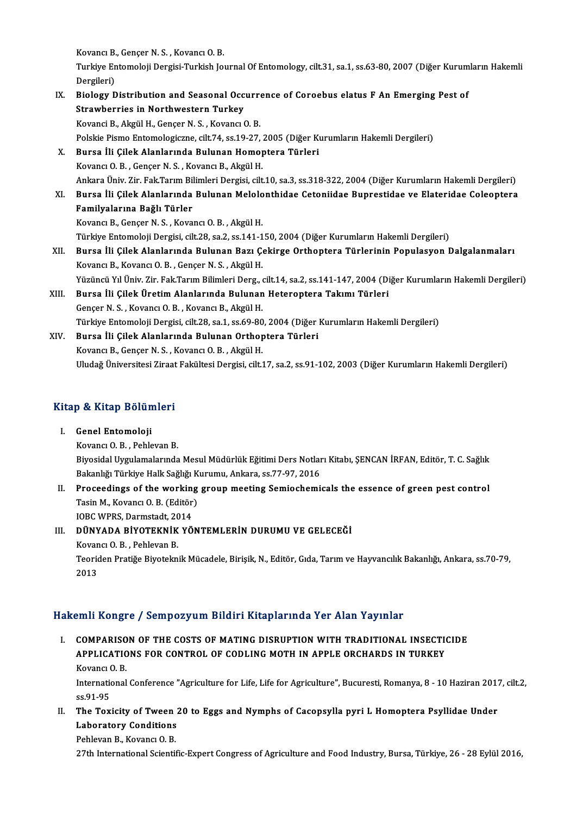Kovancı B., Gençer N. S. , Kovancı O. B.<br>Turkiye Entemaleji Dergisi Turkish Io

Turkiye Entomoloji Dergisi-Turkish Journal Of Entomology, cilt.31, sa.1, ss.63-80, 2007 (Diğer Kurumların Hakemli<br>Dergileri) Kovancı B.<br>Turkiye Er<br>Dergileri)<br>Biology D Turkiye Entomoloji Dergisi-Turkish Journal Of Entomology, cilt.31, sa.1, ss.63-80, 2007 (Diğer Kurum<br>Dergileri)<br>IX. Biology Distribution and Seasonal Occurrence of Coroebus elatus F An Emerging Pest of<br>Strawbornias in Nort

#### Dergileri)<br>Biology Distribution and Seasonal Occ<br>Strawberries in Northwestern Turkey<br>Kovanci B. Akgül H. Concer N.S., Kovancu Biology Distribution and Seasonal Occurre<br>Strawberries in Northwestern Turkey<br>Kovanci B., Akgül H., Gençer N.S. , Kovancı O. B.<br>Polskie Bisme Entemelegisme silt 74, ss 19, 27 Strawberries in Northwestern Turkey<br>Kovanci B., Akgül H., Gençer N. S. , Kovancı O. B.<br>Polskie Pismo Entomologiczne, cilt.74, ss.19-27, 2005 (Diğer Kurumların Hakemli Dergileri)<br>Pursa İli Gilek Alaplarında Bulunan Hamantar Kovanci B., Akgül H., Gençer N. S. , Kovancı O. B.<br>Polskie Pismo Entomologiczne, cilt.74, ss.19-27, 2005 (Diğer Kı<br>X. Bursa İli Çilek Alanlarında Bulunan Homoptera Türleri<br>Kovancı O. B., Conser N. S., Kovancı B., Akgül H Polskie Pismo Entomologiczne, cilt.74, ss.19-27, .<br>Bursa İli Çilek Alanlarında Bulunan Homor<br>Kovancı O. B. , Gençer N. S. , Kovancı B., Akgül H.<br>Ankara Üniy. Zir. Fak Tarım Bilimleri Dengisi, cilt. Bursa İli Çilek Alanlarında Bulunan Homoptera Türleri<br>Kovancı O. B. , Gençer N. S. , Kovancı B., Akgül H.<br>Ankara Üniv. Zir. Fak.Tarım Bilimleri Dergisi, cilt.10, sa.3, ss.318-322, 2004 (Diğer Kurumların Hakemli Dergileri)<br> Kovancı O. B. , Gençer N. S. , Kovancı B., Akgül H.<br>Ankara Üniv. Zir. Fak.Tarım Bilimleri Dergisi, cilt.10, sa.3, ss.318-322, 2004 (Diğer Kurumların Hakemli Dergileri)<br>XI. Bursa İli Çilek Alanlarında Bulunan Melolonthidae Ankara Üniv. Zir. Fak.Tarım Bil<br>Bursa İli Çilek Alanlarında<br>Familyalarına Bağlı Türler<br>Kayang B. Cangar N.S., Kaya Bursa İli Çilek Alanlarında Bulunan Melolo<br>Familyalarına Bağlı Türler<br>Kovancı B., Gençer N. S. , Kovancı O. B. , Akgül H.<br>Türkiye Entemoloji Dergisi çilt 28. se 2. se 141 1 Familyalarına Bağlı Türler<br>Kovancı B., Gençer N. S. , Kovancı O. B. , Akgül H.<br>Türkiye Entomoloji Dergisi, cilt.28, sa.2, ss.141-150, 2004 (Diğer Kurumların Hakemli Dergileri)<br>Burge İli Gilek Alaplanında Bulunan Bazı Cekin Kovancı B., Gençer N. S. , Kovancı O. B. , Akgül H.<br>Türkiye Entomoloji Dergisi, cilt.28, sa.2, ss.141-150, 2004 (Diğer Kurumların Hakemli Dergileri)<br>XII. Bursa İli Çilek Alanlarında Bulunan Bazı Çekirge Orthoptera Türlerin Türkiye Entomoloji Dergisi, cilt.28, sa.2, ss.141-1<br>Bursa İli Çilek Alanlarında Bulunan Bazı Ço<br>Kovancı B., Kovancı O. B. , Gençer N. S. , Akgül H.<br>Yüzüngü Yıl Üniy Zir Fek Tonun Bilimleri Derg Yüzüncü Yıl Üniv. Zir. Fak.Tarım Bilimleri Derg., cilt.14, sa.2, ss.141-147, 2004 (Diğer Kurumların Hakemli Dergileri) XIII. Bursa İli Çilek Üretim Alanlarında Bulunan Heteroptera Takımı Türleri Gençer N.S., Kovancı O.B., Kovancı B., Akgül H. Bursa İli Çilek Üretim Alanlarında Bulunan Heteroptera Takımı Türleri<br>Gençer N. S. , Kovancı O. B. , Kovancı B., Akgül H.<br>Türkiye Entomoloji Dergisi, cilt.28, sa.1, ss.69-80, 2004 (Diğer Kurumların Hakemli Dergileri)<br>Bunga Gençer N. S., Kovancı O. B., Kovancı B., Akgül H.<br>Türkiye Entomoloji Dergisi, cilt.28, sa.1, ss.69-80, 2004 (Diğeri<br>XIV. Bursa İli Çilek Alanlarında Bulunan Orthoptera Türleri<br>Kovancı B. Concer N. S., Kovancı O. B., Akgül Türkiye Entomoloji Dergisi, cilt.28, sa.1, ss.69-80<br>Bursa İli Çilek Alanlarında Bulunan Orthop<br>Kovancı B., Gençer N. S. , Kovancı O. B. , Akgül H.<br>Hludağ Üniversitesi Zirast Fakültesi Dergisi, silt í Bursa İli Çilek Alanlarında Bulunan Orthoptera Türleri<br>Kovancı B., Gençer N. S. , Kovancı O. B. , Akgül H.<br>Uludağ Üniversitesi Ziraat Fakültesi Dergisi, cilt.17, sa.2, ss.91-102, 2003 (Diğer Kurumların Hakemli Dergileri)

# <sub>Uludag Universitesi Ziraat</sub><br>Kitap & Kitap Bölümleri

### itap & Kitap Bölün<br>I. Genel Entomoloji<br>Kayang O.B. Babla I. Genel Entomoloji<br>Kovancı O.B., Pehlevan B. Genel Entomoloji<br>Kovancı O. B. , Pehlevan B.<br>Biyosidal Uygulamalarında Mesul Müdürlük Eğitimi Ders Notları Kitabı, ŞENCAN İRFAN, Editör, T. C. Sağlık<br>Rekaplığı Türkiye Helk Soğlığı Kumımu, Apkana, sa 77,97,2016 Kovancı O. B. , Pehlevan B.<br>Biyosidal Uygulamalarında Mesul Müdürlük Eğitimi Ders Notlar<br>Bakanlığı Türkiye Halk Sağlığı Kurumu, Ankara, ss.77-97, 2016<br>Prossodings of the working sroup meeting Somissbomi. Biyosidal Uygulamalarında Mesul Müdürlük Eğitimi Ders Notları Kitabı, ŞENCAN İRFAN, Editör, T. C. Sağlık<br>Bakanlığı Türkiye Halk Sağlığı Kurumu, Ankara, ss.77-97, 2016<br>II. Proceedings of the working group meeting Semiochemi

# Bakanlığı Türkiye Halk Sağlığı Kurumu, Ankara, ss.77-97, 2016<br>Proceedings of the working group meeting Semiochemi<br>Tasin M., Kovancı O. B. (Editör)<br>IOBC WPRS. Darmstadt. 2014 II. Proceedings of the working group meeting Semiochemicals the essence of green pest control

### III. DÜNYADA BİYOTEKNİK YÖNTEMLERİN DURUMU VE GELECEĞİ IOBC WPRS, Darmstadt, 20<br>DÜNYADA BİYOTEKNİK<br>Kovancı O. B. , Pehlevan B.<br>Teoridan Bratiğe Biyotekn Teoriden Pratiğe Biyoteknik Mücadele, Birişik, N., Editör, Gıda, Tarım ve Hayvancılık Bakanlığı, Ankara, ss.70-79,<br>2013 Kovan<br>Teoric<br>2013

#### Hakemli Kongre / Sempozyum Bildiri Kitaplarında Yer Alan Yayınlar

akemli Kongre / Sempozyum Bildiri Kitaplarında Yer Alan Yayınlar<br>I. COMPARISON OF THE COSTS OF MATING DISRUPTION WITH TRADITIONAL INSECTICIDE<br>APPLICATIONS FOR CONTROL OF CODLING MOTH IN APPLE ORCHARDS IN TURKEY AND ROBBLETT SUMPORT ON BRAINT REGISTRATIONS TO THAN TAYING.<br>COMPARISON OF THE COSTS OF MATING DISRUPTION WITH TRADITIONAL INSECTION<br>APPLICATIONS FOR CONTROL OF CODLING MOTH IN APPLE ORCHARDS IN TURKEY COMPARISO<br>APPLICATIC<br>Kovancı O. B.<br>International APPLICATIONS FOR CONTROL OF CODLING MOTH IN APPLE ORCHARDS IN TURKEY<br>Kovancı O. B.<br>International Conference "Agriculture for Life, Life for Agriculture", Bucuresti, Romanya, 8 - 10 Haziran 2017, cilt.2,<br>88.91.95

Kovancı<br>Internation<br>ss.91-95<br>The Tov International Conference "Agriculture for Life, Life for Agriculture", Bucuresti, Romanya, 8 - 10 Haziran 2017<br>5.5.91-95<br>II. The Toxicity of Tween 20 to Eggs and Nymphs of Cacopsylla pyri L Homoptera Psyllidae Under<br>Jabane

ss.91-95<br>The Toxicity of Tween :<br>Laboratory Conditions<br>Pehleven B. Keynng O.B. The Toxicity of Tween<br>Laboratory Conditions<br>Pehlevan B., Kovancı O. B.<br>27th International Scienti 1 Laboratory Conditions<br>1999 - Pehlevan B., Kovancı O. B.<br>27th International Scientific-Expert Congress of Agriculture and Food Industry, Bursa, Türkiye, 26 - 28 Eylül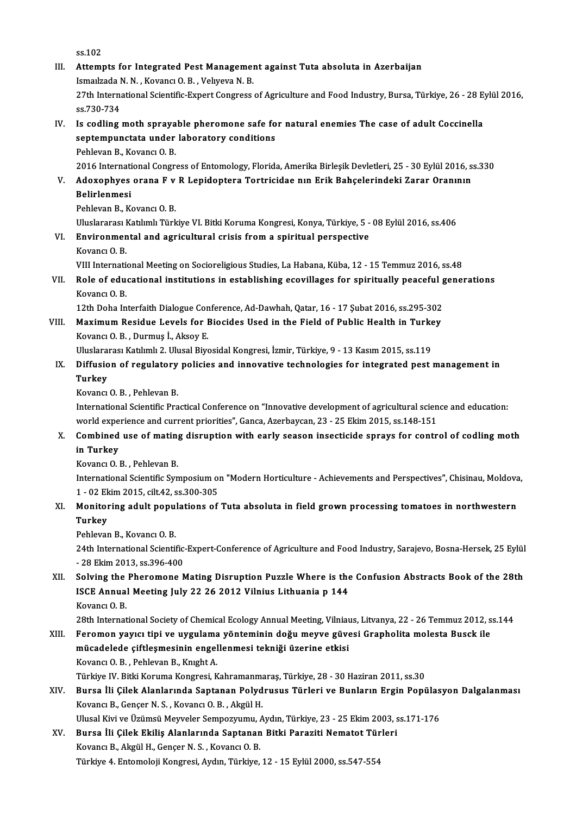ss.102

ss.102<br>III. Attempts for Integrated Pest Management against Tuta absoluta in Azerbaijan ss.102<br>Attempts for Integrated Pest Managemer<br>Ismaılzada N.N. , Kovancı O. B. , Velıyeva N. B.<br>27th International Scientifis Expert Congress. Attempts for Integrated Pest Management against Tuta absoluta in Azerbaijan<br>Ismaılzada N. N. , Kovancı O. B. , Velıyeva N. B.<br>27th International Scientific-Expert Congress of Agriculture and Food Industry, Bursa, Türkiye, Ismailzada I<br>27th Interna<br>ss.730-734<br>Is codling 27th International Scientific-Expert Congress of Agriculture and Food Industry, Bursa, Türkiye, 26 - 28 E<br>ss.730-734<br>IV. Is codling moth sprayable pheromone safe for natural enemies The case of adult Coccinella<br>sentempunet

# ss.730-734<br>Is codling moth sprayable pheromone safe fo<br>septempunctata under laboratory conditions<br>Pehlavan B. Kovang O. B Is codling moth spraya<br>septempunctata under<br>Pehlevan B., Kovancı O.B.<br>2016 International Congr septempunctata under laboratory conditions<br>Pehlevan B., Kovancı O. B.<br>2016 International Congress of Entomology, Florida, Amerika Birleşik Devletleri, 25 - 30 Eylül 2016, ss.330<br>Adaxonbues orana E.v. B. Lonidontora Tortris

### Pehlevan B., Kovancı O. B.<br>2016 International Congress of Entomology, Florida, Amerika Birleşik Devletleri, 25 - 30 Eylül 2016, s<br>20 M. Adoxophyes orana F v R Lepidoptera Tortricidae nın Erik Bahçelerindeki Zarar Oranının 2016 Internati<br>Adoxophyes<br>Belirlenmesi<br><sup>Roblovon B.</sup> K Adoxophyes orana F v<br>Belirlenmesi<br>Pehlevan B., Kovancı O. B.<br>Uluslararası Katılımlı Türk Belirlenmesi<br>Pehlevan B., Kovancı O. B.<br>Uluslararası Katılımlı Türkiye VI. Bitki Koruma Kongresi, Konya, Türkiye, 5 - 08 Eylül 2016, ss.406

Pehlevan B., Kovancı O. B.<br>Uluslararası Katılımlı Türkiye VI. Bitki Koruma Kongresi, Konya, Türkiye, 5 -<br>VI. Environmental and agricultural crisis from a spiritual perspective<br>Kovang O. B Uluslararası I<br><mark>Environmen</mark><br>Kovancı O. B.<br><sup>VIII Intornati</mark></sup> Kovancı O. B.<br>VIII International Meeting on Socioreligious Studies, La Habana, Küba, 12 - 15 Temmuz 2016, ss.48

# Kovancı O. B.<br>VIII International Meeting on Socioreligious Studies, La Habana, Küba, 12 - 15 Temmuz 2016, ss.48<br>VII. Role of educational institutions in establishing ecovillages for spiritually peaceful generations<br>Kov VIII Internation<br>Role of edu<br>Kovancı O. B.<br>12th Doba In Role of educational institutions in establishing ecovillages for spiritually peaceful g<br>Kovancı O. B.<br>12th Doha Interfaith Dialogue Conference, Ad-Dawhah, Qatar, 16 - 17 Şubat 2016, ss.295-302<br>Maximum Bosidue Levels for Bi

Kovancı O. B.<br>12th Doha Interfaith Dialogue Conference, Ad-Dawhah, Qatar, 16 - 17 Şubat 2016, ss.295-302<br>VIII. Maximum Residue Levels for Biocides Used in the Field of Public Health in Turkey<br>Kovang O. B., Durmus <sup>I.</sup> Alro 12th Doha Interfaith Dialogue Conference, Ad-Dawhah, Qatar, 16 - 17 Şubat 2016, ss.295-302<br>Maximum Residue Levels for Biocides Used in the Field of Public Health in Turkey<br>Kovancı O. B., Durmuş İ., Aksoy E.<br>Uluslararası Ka Maximum Residue Levels for Biocides Used in the Field of Public Health in Turke<br>Kovancı O.B., Durmuş İ., Aksoy E.<br>Uluslararası Katılımlı 2. Ulusal Biyosidal Kongresi, İzmir, Türkiye, 9 - 13 Kasım 2015, ss.119<br>Diffusion of

# Kovancı O. B. , Durmuş İ., Aksoy E.<br>Uluslararası Katılımlı 2. Ulusal Biyosidal Kongresi, İzmir, Türkiye, 9 - 13 Kasım 2015, ss.119<br>IX. Diffusion of regulatory policies and innovative technologies for integrated pest ma Uluslara<br><mark>Diffusio</mark><br>Turkey<br><sup>Kovonci</sup> Diffusion of regulatory<br>Turkey<br>Kovancı O.B. , Pehlevan B.<br>International Scientific Pre

Turkey<br>Kovancı O. B. , Pehlevan B.<br>International Scientific Practical Conference on "Innovative development of agricultural science and education:<br>world experience and current priorities" Conce. Agerbeycan, 22 , 25 Flrim 2 Kovancı O. B. , Pehlevan B.<br>International Scientific Practical Conference on "Innovative development of agricultural scien<br>world experience and current priorities", Ganca, Azerbaycan, 23 - 25 Ekim 2015, ss.148-151<br>Combined International Scientific Practical Conference on "Innovative development of agricultural science and education:<br>world experience and current priorities", Ganca, Azerbaycan, 23 - 25 Ekim 2015, ss.148-151<br>X. Combined use of

# world expe<br>**Combined**<br>**in Turkey**<br>Kovang O<sub>-</sub>1 Combined use of mating<br>in Turkey<br>Kovancı O.B., Pehlevan B.<br>International Scientific Sur

i**n Turkey**<br>Kovancı O. B. , Pehlevan B.<br>International Scientific Symposium on "Modern Horticulture - Achievements and Perspectives", Chisinau, Moldova,<br>1 , 93 Flrim 2015, silt 42, ss 300,305. Kovancı O. B. , Pehlevan B.<br>International Scientific Symposium ol<br>1 - 02 Ekim 2015, cilt.42, ss.300-305<br>Monitoring adult nopulations of International Scientific Symposium on "Modern Horticulture - Achievements and Perspectives", Chisinau, Moldova<br>1 - 02 Ekim 2015, cilt.42, ss.300-305<br>XI. Monitoring adult populations of Tuta absoluta in field grown processi

# 1 - 02 Ekim 2015, cilt.42, ss.300-305<br>Monitoring adult populations of<br>Turkey<br>Pehlevan B., Kovancı O. B. Monitoring adult popu<br>Turkey<br>Pehlevan B., Kovancı O. B.<br>24th International Scienti

**Turkey**<br>Pehlevan B., Kovancı O. B.<br>24th International Scientific-Expert-Conference of Agriculture and Food Industry, Sarajevo, Bosna-Hersek, 25 Eylül Pehlevan B., Kovancı O. B.<br>24th International Scientific<br>- 28 Ekim 2013, ss.396-400<br>Selving the Pheromone A 24th International Scientific-Expert-Conference of Agriculture and Food Industry, Sarajevo, Bosna-Hersek, 25 Eylül<br>28 Ekim 2013, ss.396-400<br>XII. Solving the Pheromone Mating Disruption Puzzle Where is the Confusion Abstrac

# - 28 Ekim 2013, ss.396-400<br>Solving the Pheromone Mating Disruption Puzzle Where is the<br>ISCE Annual Meeting July 22 26 2012 Vilnius Lithuania p 144<br>Kovang O B Solving the<br>ISCE Annua<br>Kovancı O. B.<br><sup>29th Internat</sup> ISCE Annual Meeting July 22 26 2012 Vilnius Lithuania p 144<br>Kovancı O. B.<br>28th International Society of Chemical Ecology Annual Meeting, Vilniaus, Litvanya, 22 - 26 Temmuz 2012, ss.144

Kovancı O. B.<br>28th International Society of Chemical Ecology Annual Meeting, Vilniaus, Litvanya, 22 - 26 Temmuz 2012, s<br>XIII. Feromon yayıcı tipi ve uygulama yönteminin doğu meyve güvesi Grapholita molesta Busck ile<br>mü 28th International Society of Chemical Ecology Annual Meeting, Vilniau<br>Feromon yayıcı tipi ve uygulama yönteminin doğu meyve güve<br>mücadelede çiftleşmesinin engellenmesi tekniği üzerine etkisi<br>Kayang O.B., Bablayan B. Knysh Feromon yayıcı tipi ve uygulama<br>mücadelede çiftleşmesinin engel<br>Kovancı O.B., Pehlevan B., Knıght A.<br>Türkiye IV. Pitki Koruma Kongresi, K <mark>mücadelede çiftleşmesinin engellenmesi tekniği üzerine etkisi</mark><br>Kovancı O. B. , Pehlevan B., Knıght A.<br>Türkiye IV. Bitki Koruma Kongresi, Kahramanmaraş, Türkiye, 28 - 30 Haziran 2011, ss.30<br>Bunge İli Gilek Alenlanında Sent Kovancı O. B. , Pehlevan B., Knıght A.<br>Türkiye IV. Bitki Koruma Kongresi, Kahramanmaraş, Türkiye, 28 - 30 Haziran 2011, ss.30<br>XIV. Bursa İli Çilek Alanlarında Saptanan Polydrusus Türleri ve Bunların Ergin Popülasyon Da

# Türkiye IV. Bitki Koruma Kongresi, Kahramanma<br>Bursa İli Çilek Alanlarında Saptanan Polyd<br>Kovancı B., Gençer N. S. , Kovancı O. B. , Akgül H.<br>Hlusel Kivi ve Üzümeü Meyyeler Semnezzumu. Bursa İli Çilek Alanlarında Saptanan Polydrusus Türleri ve Bunların Ergin Popülas<br>Kovancı B., Gençer N. S. , Kovancı O. B. , Akgül H.<br>Ulusal Kivi ve Üzümsü Meyveler Sempozyumu, Aydın, Türkiye, 23 - 25 Ekim 2003, ss.171-176 Kovancı B., Gençer N. S. , Kovancı O. B. , Akgül H.<br>Ulusal Kivi ve Üzümsü Meyveler Sempozyumu, Aydın, Türkiye, 23 - 25 Ekim 2003, s<br>XV. Bursa İli Çilek Ekiliş Alanlarında Saptanan Bitki Paraziti Nematot Türleri<br>Kovancı

Ulusal Kivi ve Üzümsü Meyveler Sempozyumu, *I*<br>Bursa İli Çilek Ekiliş Alanlarında Saptanan<br>Kovancı B., Akgül H., Gençer N. S. , Kovancı O. B.<br>Türkiye 4. Entemoleji Kongresi, Aydın Türkiye Bursa İli Çilek Ekiliş Alanlarında Saptanan Bitki Paraziti Nematot Türleri<br>Kovancı B., Akgül H., Gençer N. S. , Kovancı O. B.<br>Türkiye 4. Entomoloji Kongresi, Aydın, Türkiye, 12 - 15 Eylül 2000, ss.547-554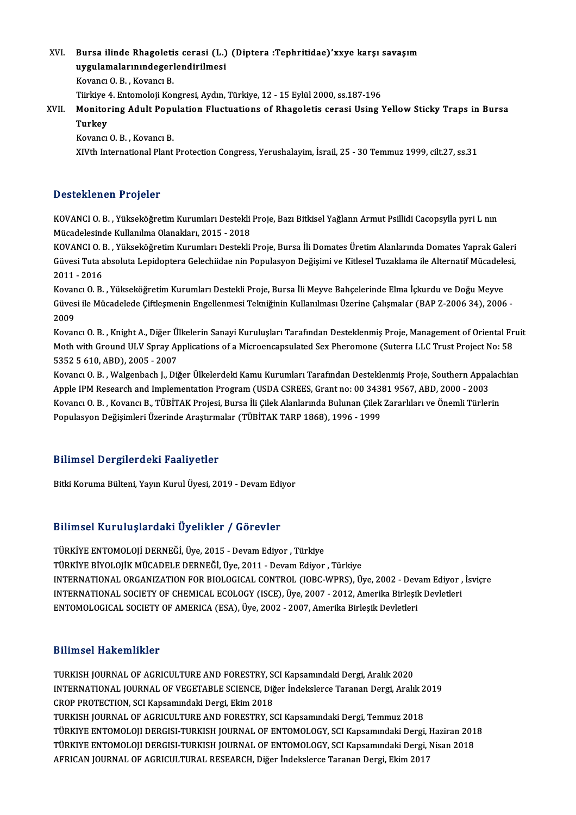XVI. Bursa ilinde Rhagoletis cerasi (L.) (Diptera :Tephritidae)'xxye karşı savaşım Bursa ilinde Rhagoletis cerasi (L.)<br>uygulamalarınındegerlendirilmesi<br>Kayang O.B. Kayang B uygulamalarınındegerlendirilmesi<br>Kovancı O. B., Kovancı B. uygulamalarınındegerlendirilmesi<br>Kovancı O. B. , Kovancı B.<br>Türkiye 4. Entomoloji Kongresi, Aydın, Türkiye, 12 - 15 Eylül 2000, ss.187-196<br>Monitaning Adult Penulatian Elustuatione of Phageletis sensei Heing 1

XVII. Monitoring Adult Population Fluctuations of Rhagoletis cerasi Using Yellow Sticky Traps in Bursa<br>Turkev Tiirkiye<br>Monitoi<br>Turkey<br><sup>Kovonci</sup>

Kovancı O.B., Kovancı B.

XIVth International Plant Protection Congress, Yerushalayim, İsrail, 25 - 30 Temmuz 1999, cilt.27, ss.31

#### Desteklenen Projeler

KOVANCIO.B., Yükseköğretim Kurumları Destekli Proje, Bazı Bitkisel Yağlann Armut Psillidi Cacopsylla pyri L nın Mücadelesinde Kullanılma Olanakları, 2015 - 2018 KOVANCI O. B. , Yükseköğretim Kurumları Destekli Proje, Bazı Bitkisel Yağlann Armut Psillidi Cacopsylla pyri L nın<br>Mücadelesinde Kullanılma Olanakları, 2015 - 2018<br>KOVANCI O. B. , Yükseköğretim Kurumları Destekli Proje, Bu

Mücadelesinde Kullanılma Olanakları, 2015 - 2018<br>KOVANCI O. B. , Yükseköğretim Kurumları Destekli Proje, Bursa İli Domates Üretim Alanlarında Domates Yaprak Galeri<br>Güvesi Tuta absoluta Lepidoptera Gelechiidae nin Populasyo KOVANCI O. I<br>Güvesi Tuta a<br>2011 - 2016<br>Kovang O. B Güvesi Tuta absoluta Lepidoptera Gelechiidae nin Populasyon Değişimi ve Kitlesel Tuzaklama ile Alternatif Mücadele<br>2011 - 2016<br>Kovancı O. B. , Yükseköğretim Kurumları Destekli Proje, Bursa İli Meyve Bahçelerinde Elma İçkur

2011 - 2016<br>Kovancı O. B. , Yükseköğretim Kurumları Destekli Proje, Bursa İli Meyve Bahçelerinde Elma İçkurdu ve Doğu Meyve<br>Güvesi ile Mücadelede Çiftleşmenin Engellenmesi Tekniğinin Kullanılması Üzerine Çalışmalar (BAP Z-Kovan<br>Güves<br>2009<br>Kovan Güvesi ile Mücadelede Çiftleşmenin Engellenmesi Tekniğinin Kullanılması Üzerine Çalışmalar (BAP Z-2006 34), 2006 -<br>2009<br>Kovancı O. B. , Knight A., Diğer Ülkelerin Sanayi Kuruluşları Tarafından Desteklenmiş Proje, Managemen

2009<br>Kovancı O. B. , Knight A., Diğer Ülkelerin Sanayi Kuruluşları Tarafından Desteklenmiş Proje, Management of Oriental Fr<br>Moth with Ground ULV Spray Applications of a Microencapsulated Sex Pheromone (Suterra LLC Trust Pr Kovancı O. B. , Knight A., Diğer Ü.<br>Moth with Ground ULV Spray Ap<br>5352 5 610, ABD), 2005 - 2007<br>Kovancı O. B., Walsanbash J. Dii Moth with Ground ULV Spray Applications of a Microencapsulated Sex Pheromone (Suterra LLC Trust Project No: 58<br>5352 5 610, ABD), 2005 - 2007<br>Kovancı O. B. , Walgenbach J., Diğer Ülkelerdeki Kamu Kurumları Tarafından Destek

5352 5 610, ABD), 2005 - 2007<br>Kovancı O. B. , Walgenbach J., Diğer Ülkelerdeki Kamu Kurumları Tarafından Desteklenmiş Proje, Southern Appa<br>Apple IPM Research and Implementation Program (USDA CSREES, Grant no: 00 34381 9567 Kovancı O. B. , Walgenbach J., Diğer Ülkelerdeki Kamu Kurumları Tarafından Desteklenmiş Proje, Southern Appalac<br>Apple IPM Research and Implementation Program (USDA CSREES, Grant no: 00 34381 9567, ABD, 2000 - 2003<br>Kovancı Apple IPM Research and Implementation Program (USDA CSREES, Grant no: 00 34381 9567, ABD, 2000 - 2003<br>Kovancı O. B. , Kovancı B., TÜBİTAK Projesi, Bursa İli Çilek Alanlarında Bulunan Çilek Zararlıları ve Önemli Türlerin<br>Po

#### Bilimsel Dergilerdeki Faaliyetler

Bitki Koruma Bülteni, Yayın Kurul Üyesi, 2019 - Devam Ediyor

#### Bilimsel KuruluşlardakiÜyelikler / Görevler

TÜRKİYEENTOMOLOJİDERNEĞİ,Üye,2015 -DevamEdiyor ,Türkiye TÜRKİYE BİYOLOJİK MÜCADELE DERNEĞİ, Üye, 2011 - Devam Ediyor , Türkiye TÜRKİYE ENTOMOLOJİ DERNEĞİ, Üye, 2015 - Devam Ediyor , Türkiye<br>TÜRKİYE BİYOLOJİK MÜCADELE DERNEĞİ, Üye, 2011 - Devam Ediyor , Türkiye<br>INTERNATIONAL ORGANIZATION FOR BIOLOGICAL CONTROL (IOBC-WPRS), Üye, 2002 - Devam Ediyor TÜRKİYE BİYOLOJİK MÜCADELE DERNEĞİ, Üye, 2011 - Devam Ediyor , Türkiye<br>INTERNATIONAL ORGANIZATION FOR BIOLOGICAL CONTROL (IOBC-WPRS), Üye, 2002 - Devam Ediyor ,<br>INTERNATIONAL SOCIETY OF CHEMICAL ECOLOGY (ISCE), Üye, 2007 -INTERNATIONAL SOCIETY OF CHEMICAL ECOLOGY (ISCE), Üye, 2007 - 2012, Amerika Birleşik Devletleri<br>ENTOMOLOGICAL SOCIETY OF AMERICA (ESA), Üye, 2002 - 2007, Amerika Birleşik Devletleri

#### Bilimsel Hakemlikler

Bilimsel Hakemlikler<br>TURKISH JOURNAL OF AGRICULTURE AND FORESTRY, SCI Kapsamındaki Dergi, Aralık 2020<br>INTERNATIONAL JOURNAL OF VECETABLE SCIENCE, Diğer İndekaleres Terenen Dergi, Aralık D'ININOCI TIANCIMTINICI<br>TURKISH JOURNAL OF AGRICULTURE AND FORESTRY, SCI Kapsamındaki Dergi, Aralık 2020<br>INTERNATIONAL JOURNAL OF VEGETABLE SCIENCE, Diğer İndekslerce Taranan Dergi, Aralık 2019<br>CROP PROTECTION, SCI Kansamı TURKISH JOURNAL OF AGRICULTURE AND FORESTRY, SONTERNATIONAL JOURNAL OF VEGETABLE SCIENCE, Dig<br>CROP PROTECTION, SCI Kapsamındaki Dergi, Ekim 2018<br>TURKISH JOURNAL OF ACRICULTURE AND FORESTRY SO INTERNATIONAL JOURNAL OF VEGETABLE SCIENCE, Diğer İndekslerce Taranan Dergi, Aralık 2<br>CROP PROTECTION, SCI Kapsamındaki Dergi, Ekim 2018<br>TÜRKISH JOURNAL OF AGRICULTURE AND FORESTRY, SCI Kapsamındaki Dergi, Temmuz 2018<br>TÜRK CROP PROTECTION, SCI Kapsamındaki Dergi, Ekim 2018<br>TURKISH JOURNAL OF AGRICULTURE AND FORESTRY, SCI Kapsamındaki Dergi, Temmuz 2018<br>TÜRKIYE ENTOMOLOJI DERGISI-TURKISH JOURNAL OF ENTOMOLOGY, SCI Kapsamındaki Dergi, Haziran TURKISH JOURNAL OF AGRICULTURE AND FORESTRY, SCI Kapsamındaki Dergi, Temmuz 2018<br>TÜRKIYE ENTOMOLOJI DERGISI-TURKISH JOURNAL OF ENTOMOLOGY, SCI Kapsamındaki Dergi, Haziran 201<br>TÜRKIYE ENTOMOLOJI DERGISI-TURKISH JOURNAL OF E TÜRKIYE ENTOMOLOJI DERGISI-TURKISH JOURNAL OF ENTOMOLOGY, SCI Kapsamındaki Dergi, İ<br>TÜRKIYE ENTOMOLOJI DERGISI-TURKISH JOURNAL OF ENTOMOLOGY, SCI Kapsamındaki Dergi, İ<br>AFRICAN JOURNAL OF AGRICULTURAL RESEARCH, Diğer İndeks